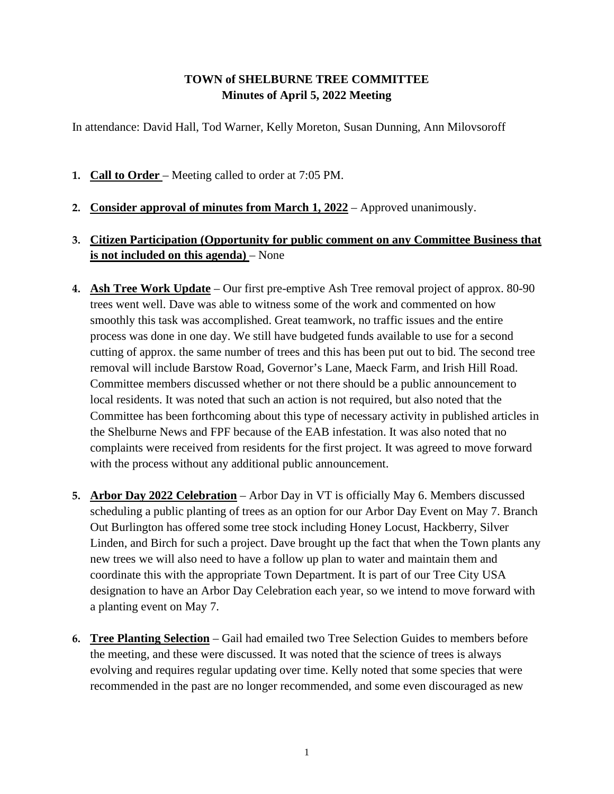## **TOWN of SHELBURNE TREE COMMITTEE Minutes of April 5, 2022 Meeting**

In attendance: David Hall, Tod Warner, Kelly Moreton, Susan Dunning, Ann Milovsoroff

- **1. Call to Order**  Meeting called to order at 7:05 PM.
- **2. Consider approval of minutes from March 1, 2022** Approved unanimously.
- **3. Citizen Participation (Opportunity for public comment on any Committee Business that is not included on this agenda)** – None
- **4. Ash Tree Work Update** Our first pre-emptive Ash Tree removal project of approx. 80-90 trees went well. Dave was able to witness some of the work and commented on how smoothly this task was accomplished. Great teamwork, no traffic issues and the entire process was done in one day. We still have budgeted funds available to use for a second cutting of approx. the same number of trees and this has been put out to bid. The second tree removal will include Barstow Road, Governor's Lane, Maeck Farm, and Irish Hill Road. Committee members discussed whether or not there should be a public announcement to local residents. It was noted that such an action is not required, but also noted that the Committee has been forthcoming about this type of necessary activity in published articles in the Shelburne News and FPF because of the EAB infestation. It was also noted that no complaints were received from residents for the first project. It was agreed to move forward with the process without any additional public announcement.
- **5. Arbor Day 2022 Celebration** Arbor Day in VT is officially May 6. Members discussed scheduling a public planting of trees as an option for our Arbor Day Event on May 7. Branch Out Burlington has offered some tree stock including Honey Locust, Hackberry, Silver Linden, and Birch for such a project. Dave brought up the fact that when the Town plants any new trees we will also need to have a follow up plan to water and maintain them and coordinate this with the appropriate Town Department. It is part of our Tree City USA designation to have an Arbor Day Celebration each year, so we intend to move forward with a planting event on May 7.
- **6. Tree Planting Selection** Gail had emailed two Tree Selection Guides to members before the meeting, and these were discussed. It was noted that the science of trees is always evolving and requires regular updating over time. Kelly noted that some species that were recommended in the past are no longer recommended, and some even discouraged as new